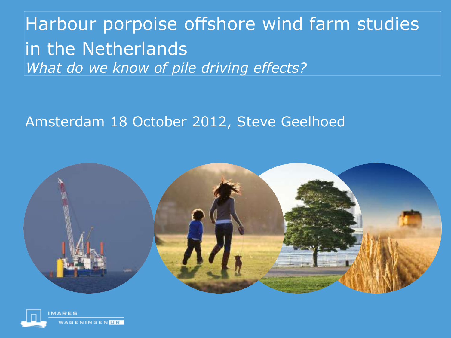### Harbour porpoise offshore wind farm studies in the Netherlands *What do we know of pile driving effects?*

#### Amsterdam 18 October 2012, Steve Geelhoed



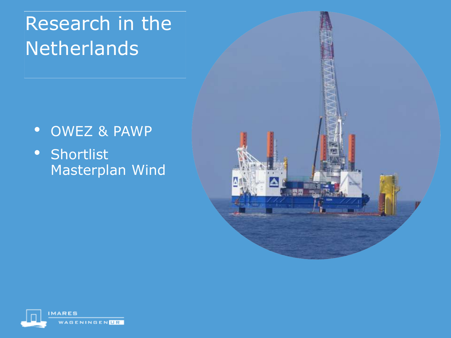- OWEZ & PAWP
- Shortlist Masterplan Wind



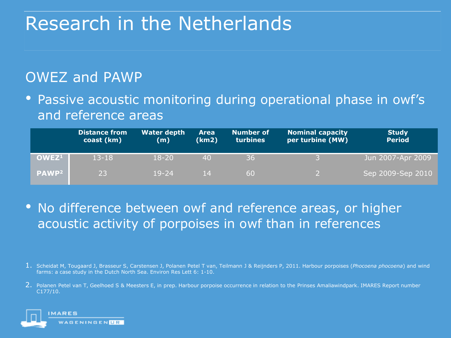#### OWEZ and PAWP

• Passive acoustic monitoring during operational phase in owf's and reference areas

|                         | <b>Distance from</b><br>coast (km) | <b>Water depth</b><br>(m) | <b>Area</b><br>(km2) | <b>Number of</b><br>turbines | <b>Nominal capacity</b><br>per turbine (MW) | <b>Study</b><br><b>Period</b> |
|-------------------------|------------------------------------|---------------------------|----------------------|------------------------------|---------------------------------------------|-------------------------------|
| OWEZ <sup>1</sup>       | $13 - 18$                          | 18-20                     | 40                   | 36                           |                                             | Jun 2007-Apr 2009             |
| <b>PAWP<sup>2</sup></b> | 23                                 | $19 - 24$                 | 14                   | 60                           |                                             | Sep 2009-Sep 2010             |

- No difference between owf and reference areas, or higher acoustic activity of porpoises in owf than in references
- 1. Scheidat M, Tougaard J, Brasseur S, Carstensen J, Polanen Petel T van, Teilmann J & Reijnders P, 2011. Harbour porpoises (*Phocoena phocoena*) and wind farms: a case study in the Dutch North Sea. Environ Res Lett 6: 1-10.
- 2. Polanen Petel van T, Geelhoed S & Meesters E, in prep. Harbour porpoise occurrence in relation to the Prinses Amaliawindpark. IMARES Report number C177/10.

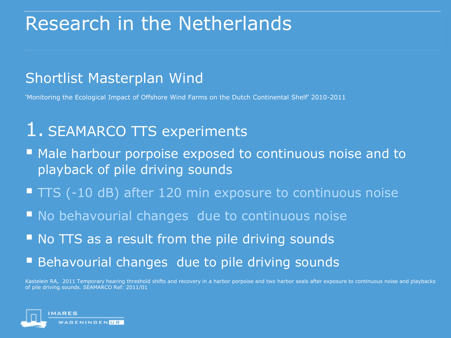#### Shortlist Masterplan Wind

'Monitoring the Ecological Impact of Offshore Wind Farms on the Dutch Continental Shelf' 2010-2011

### 1. SEAMARCO TTS experiments

- **Male harbour porpoise exposed to continuous noise and to** playback of pile driving sounds
- $\blacksquare$  TTS (-10 dB) after 120 min exposure to continuous noise
- **No behavourial changes due to continuous noise**
- No TTS as a result from the pile driving sounds
- Behavourial changes due to pile driving sounds

Kastelein RA, 2011 Temporary hearing threshold shifts and recovery in a harbor porpoise and two harbor seals after exposure to continuous noise and playbacks of pile driving sounds. SEAMARCO Ref: 2011/01

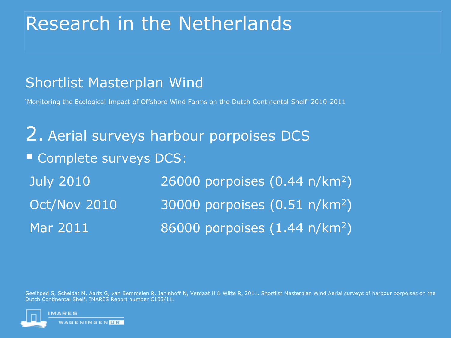#### Shortlist Masterplan Wind

'Monitoring the Ecological Impact of Offshore Wind Farms on the Dutch Continental Shelf' 2010-2011

2. Aerial surveys harbour porpoises DCS Complete surveys DCS: July 2010 26000 porpoises (0.44 n/km<sup>2</sup>) Oct/Nov 2010 30000 porpoises (0.51 n/km<sup>2</sup>) Mar 2011 86000 porpoises (1.44 n/km<sup>2</sup>)

Geelhoed S, Scheidat M, Aarts G, van Bemmelen R, Janinhoff N, Verdaat H & Witte R, 2011. Shortlist Masterplan Wind Aerial surveys of harbour porpoises on the Dutch Continental Shelf. IMARES Report number C103/11.

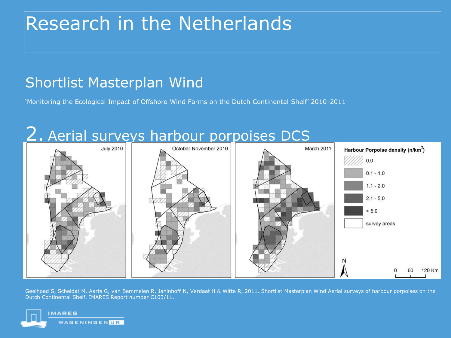#### Shortlist Masterplan Wind

'Monitoring the Ecological Impact of Offshore Wind Farms on the Dutch Continental Shelf' 2010-2011



Geelhoed S, Scheidat M, Aarts G, van Bemmelen R, Janinhoff N, Verdaat H & Witte R, 2011. Shortlist Masterplan Wind Aerial surveys of harbour porpoises on the Dutch Continental Shelf. IMARES Report number C103/11.

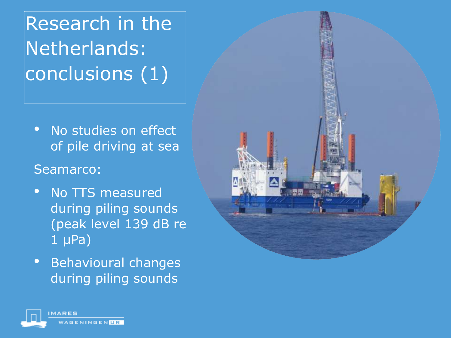Research in the Netherlands: conclusions (1)

- No studies on effect of pile driving at sea
- Seamarco:
- No TTS measured during piling sounds (peak level 139 dB re 1 μPa)
- Behavioural changes during piling sounds



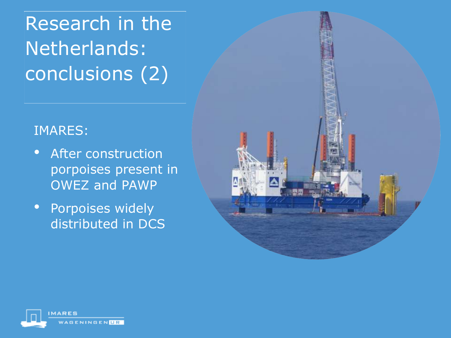Research in the Netherlands: conclusions (2)

#### IMARES:

- After construction porpoises present in OWEZ and PAWP
- Porpoises widely distributed in DCS



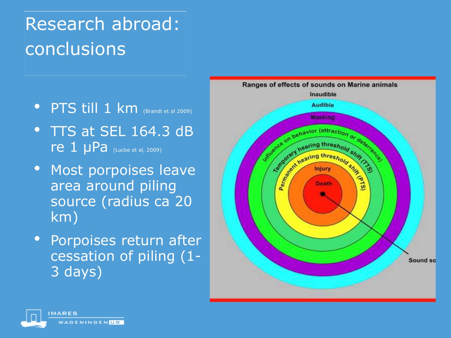# Research abroad: conclusions

- **PTS till 1 km** (Brandt et al 2009)
- TTS at SEL 164.3 dB re 1 μPa (Lucke et al, 2009)
- Most porpoises leave area around piling source (radius ca 20 km)
- Porpoises return after cessation of piling (1- 3 days)



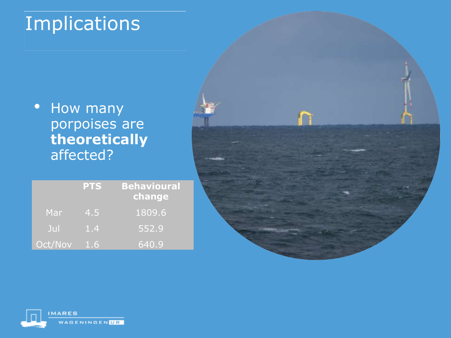# Implications

• How many porpoises are **theoretically** affected?

|         | <b>PTS</b>       | <b>Behavioural</b><br>change |
|---------|------------------|------------------------------|
| Mar     | (4.5)            | 1809.6                       |
| Jul     | $\overline{1.4}$ | 552.9                        |
| Oct/Nov | 1.6              | 640.9                        |



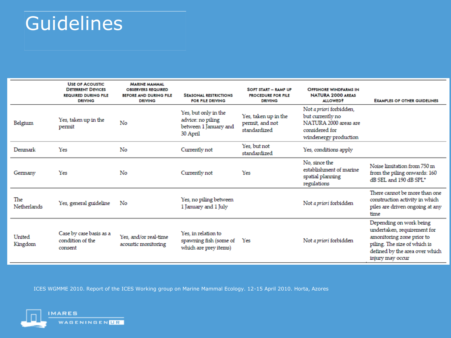## Guidelines

|                    | <b>USE OF ACOUSTIC</b><br><b>DETERRENT DEVICES</b><br><b>REQUIRED DURING PILE</b><br><b>DRIVING</b> | <b>MARINE MAMMAL</b><br><b>OBSERVERS REQUIRED</b><br><b>BEFORE AND DURING PILE</b><br><b>DRIVING</b> | <b>SEASONAL RESTRICTIONS</b><br>FOR PILE DRIVING                               | SOFT START - RAMP UP<br><b>PROCEDURE FOR PILE</b><br><b>DRIVING</b> | <b>OFFSHORE WINDFARMS IN</b><br><b>NATURA 2000 AREAS</b><br><b>ALLOWED?</b>                                     | <b>EXAMPLES OF OTHER GUIDELINES</b>                                                                                                                                       |
|--------------------|-----------------------------------------------------------------------------------------------------|------------------------------------------------------------------------------------------------------|--------------------------------------------------------------------------------|---------------------------------------------------------------------|-----------------------------------------------------------------------------------------------------------------|---------------------------------------------------------------------------------------------------------------------------------------------------------------------------|
| Belgium            | Yes, taken up in the<br>permit                                                                      | No                                                                                                   | Yes, but only in the<br>advice: no piling<br>between 1 January and<br>30 April | Yes, taken up in the<br>permit, and not<br>standardized             | Not a priori forbidden,<br>but currently no<br>NATURA 2000 areas are<br>considered for<br>windenergy production |                                                                                                                                                                           |
| Denmark            | Yes                                                                                                 | No                                                                                                   | Currently not                                                                  | Yes, but not<br>standardized                                        | Yes, conditions apply                                                                                           |                                                                                                                                                                           |
| Germany            | Yes                                                                                                 | No                                                                                                   | Currently not                                                                  | Yes                                                                 | No, since the<br>establishment of marine<br>spatial planning<br>regulations                                     | Noise limitation from 750 m<br>from the piling onwards: 160<br>dB SEL and 190 dB SPL*                                                                                     |
| The<br>Netherlands | Yes, general guideline                                                                              | No                                                                                                   | Yes, no piling between<br>1 January and 1 July                                 |                                                                     | Not <i>a priori</i> forbidden                                                                                   | There cannot be more than one<br>construction activity in which<br>piles are driven ongoing at any<br>time                                                                |
| United<br>Kingdom  | Case by case basis as a<br>condition of the<br>consent                                              | Yes, and/or real-time<br>acoustic monitoring                                                         | Yes, in relation to<br>spawning fish (some of<br>which are prey items)         | Yes                                                                 | Not <i>a priori</i> forbidden                                                                                   | Depending on work being<br>undertaken, requirement for<br>amonitoring zone prior to<br>piling. The size of which is<br>defined by the area over which<br>injury may occur |

ICES WGMME 2010. Report of the ICES Working group on Marine Mammal Ecology. 12-15 April 2010. Horta, Azores

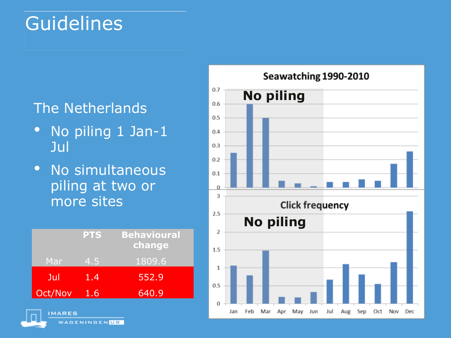# Guidelines

#### The Netherlands

- No piling 1 Jan-1 Jul
- No simultaneous piling at two or more sites

|         | <b>PTS</b> | <b>Behavioural</b><br>change |
|---------|------------|------------------------------|
| Mar     | (4.5)      | 1809.6                       |
| Jul     | 1.4        | 552.9                        |
| Oct/Nov | 1.6        | 640.9                        |

**MARES** 



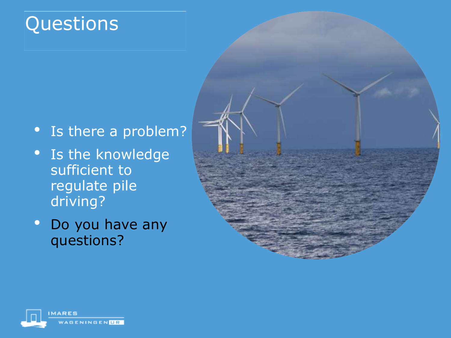# **Questions**

- Is there a problem?
- Is the knowledge sufficient to regulate pile driving?
- Do you have any questions?